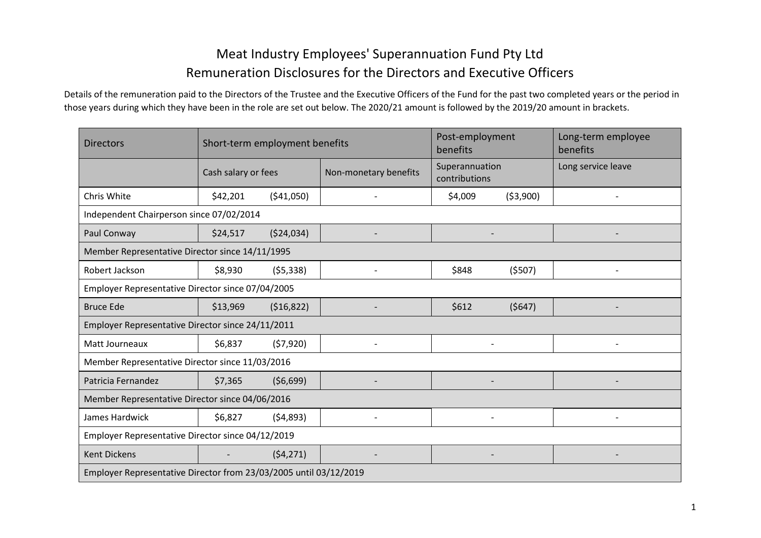## Meat Industry Employees' Superannuation Fund Pty Ltd Remuneration Disclosures for the Directors and Executive Officers

Details of the remuneration paid to the Directors of the Trustee and the Executive Officers of the Fund for the past two completed years or the period in those years during which they have been in the role are set out below. The 2020/21 amount is followed by the 2019/20 amount in brackets.

| <b>Directors</b>                                                  |                     | Short-term employment benefits |                       | Post-employment<br>benefits     |        | Long-term employee<br>benefits |  |  |  |  |  |  |
|-------------------------------------------------------------------|---------------------|--------------------------------|-----------------------|---------------------------------|--------|--------------------------------|--|--|--|--|--|--|
|                                                                   | Cash salary or fees |                                | Non-monetary benefits | Superannuation<br>contributions |        | Long service leave             |  |  |  |  |  |  |
| Chris White                                                       | \$42,201            | (541,050)                      | \$4,009<br>(53,900)   |                                 |        |                                |  |  |  |  |  |  |
| Independent Chairperson since 07/02/2014                          |                     |                                |                       |                                 |        |                                |  |  |  |  |  |  |
| Paul Conway                                                       | \$24,517            | (524, 034)                     |                       |                                 |        |                                |  |  |  |  |  |  |
| Member Representative Director since 14/11/1995                   |                     |                                |                       |                                 |        |                                |  |  |  |  |  |  |
| Robert Jackson                                                    | \$8,930             | (55, 338)                      |                       | \$848                           | (5507) |                                |  |  |  |  |  |  |
| Employer Representative Director since 07/04/2005                 |                     |                                |                       |                                 |        |                                |  |  |  |  |  |  |
| <b>Bruce Ede</b>                                                  | \$13,969            | (516, 822)                     |                       | \$612                           | (5647) |                                |  |  |  |  |  |  |
| Employer Representative Director since 24/11/2011                 |                     |                                |                       |                                 |        |                                |  |  |  |  |  |  |
| Matt Journeaux                                                    | \$6,837             | (57,920)                       |                       |                                 |        |                                |  |  |  |  |  |  |
| Member Representative Director since 11/03/2016                   |                     |                                |                       |                                 |        |                                |  |  |  |  |  |  |
| Patricia Fernandez                                                | \$7,365             | (56, 699)                      |                       |                                 |        |                                |  |  |  |  |  |  |
| Member Representative Director since 04/06/2016                   |                     |                                |                       |                                 |        |                                |  |  |  |  |  |  |
| James Hardwick                                                    | \$6,827             | (54,893)                       |                       |                                 |        |                                |  |  |  |  |  |  |
| Employer Representative Director since 04/12/2019                 |                     |                                |                       |                                 |        |                                |  |  |  |  |  |  |
| <b>Kent Dickens</b>                                               |                     | (54, 271)                      |                       |                                 |        |                                |  |  |  |  |  |  |
| Employer Representative Director from 23/03/2005 until 03/12/2019 |                     |                                |                       |                                 |        |                                |  |  |  |  |  |  |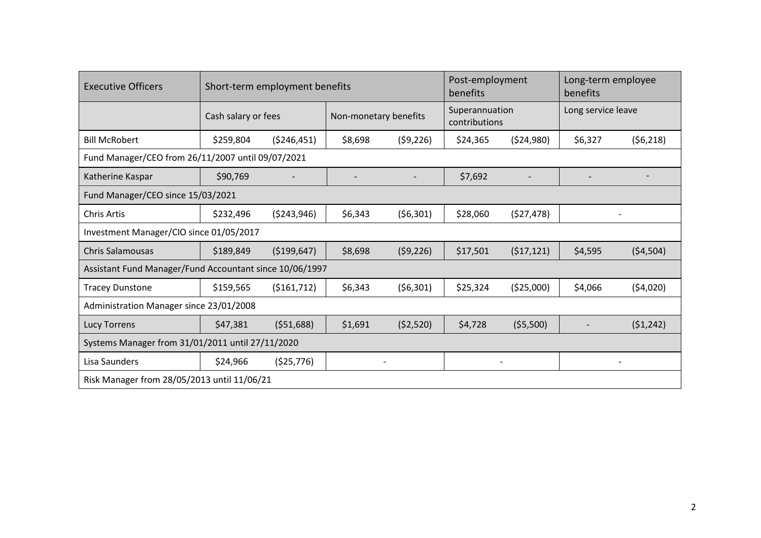| <b>Executive Officers</b>                               |                     | Short-term employment benefits |                       |           | Post-employment<br>benefits     |            | Long-term employee<br>benefits |           |  |  |  |  |  |
|---------------------------------------------------------|---------------------|--------------------------------|-----------------------|-----------|---------------------------------|------------|--------------------------------|-----------|--|--|--|--|--|
|                                                         | Cash salary or fees |                                | Non-monetary benefits |           | Superannuation<br>contributions |            | Long service leave             |           |  |  |  |  |  |
| <b>Bill McRobert</b>                                    | \$259,804           | ( \$246,451)                   | \$8,698               | (59, 226) | \$24,365                        | (524,980)  | \$6,327                        | (56,218)  |  |  |  |  |  |
| Fund Manager/CEO from 26/11/2007 until 09/07/2021       |                     |                                |                       |           |                                 |            |                                |           |  |  |  |  |  |
| Katherine Kaspar                                        | \$90,769            |                                |                       |           | \$7,692                         |            |                                |           |  |  |  |  |  |
| Fund Manager/CEO since 15/03/2021                       |                     |                                |                       |           |                                 |            |                                |           |  |  |  |  |  |
| <b>Chris Artis</b>                                      | \$232,496           | (5243, 946)                    | \$6,343               | (56,301)  | \$28,060                        | (527, 478) |                                |           |  |  |  |  |  |
| Investment Manager/CIO since 01/05/2017                 |                     |                                |                       |           |                                 |            |                                |           |  |  |  |  |  |
| <b>Chris Salamousas</b>                                 | \$189,849           | ( \$199,647)                   | \$8,698               | (59, 226) | \$17,501                        | (517, 121) | \$4,595                        | (54, 504) |  |  |  |  |  |
| Assistant Fund Manager/Fund Accountant since 10/06/1997 |                     |                                |                       |           |                                 |            |                                |           |  |  |  |  |  |
| <b>Tracey Dunstone</b>                                  | \$159,565           | ( \$161, 712)                  | \$6,343               | (56,301)  | \$25,324                        | (\$25,000) | \$4,066                        | (54,020)  |  |  |  |  |  |
| Administration Manager since 23/01/2008                 |                     |                                |                       |           |                                 |            |                                |           |  |  |  |  |  |
| <b>Lucy Torrens</b>                                     | \$47,381            | (551,688)                      | \$1,691               | (52,520)  | \$4,728                         | (55,500)   |                                | (51, 242) |  |  |  |  |  |
| Systems Manager from 31/01/2011 until 27/11/2020        |                     |                                |                       |           |                                 |            |                                |           |  |  |  |  |  |
| Lisa Saunders                                           | \$24,966            | (525, 776)                     |                       |           |                                 |            |                                |           |  |  |  |  |  |
| Risk Manager from 28/05/2013 until 11/06/21             |                     |                                |                       |           |                                 |            |                                |           |  |  |  |  |  |